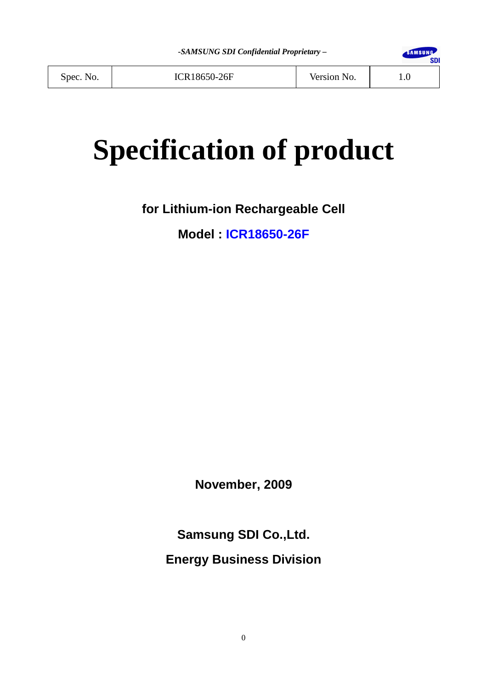

Spec. No. | ICR18650-26F | Version No. | 1.0

# **Specification of product**

**for Lithium-ion Rechargeable Cell** 

**Model : ICR18650-26F**

**November, 2009** 

**Samsung SDI Co.,Ltd. Energy Business Division**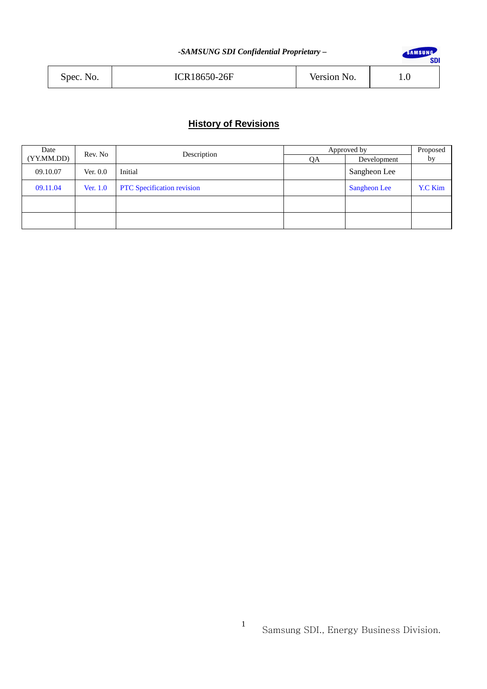| Spec. No. | <b>ICR18650-26F</b> | Version No. |  |
|-----------|---------------------|-------------|--|
|           |                     |             |  |

# **History of Revisions**

| Date<br>Rev. No |            | Description                       | Approved by |                     | Proposed       |
|-----------------|------------|-----------------------------------|-------------|---------------------|----------------|
| (YY.MM.DD)      |            |                                   | QA          | Development         | by             |
| 09.10.07        | Ver. $0.0$ | Initial                           |             | Sangheon Lee        |                |
| 09.11.04        | Ver. 1.0   | <b>PTC</b> Specification revision |             | <b>Sangheon Lee</b> | <b>Y.C Kim</b> |
|                 |            |                                   |             |                     |                |
|                 |            |                                   |             |                     |                |

SAMSUNG SDI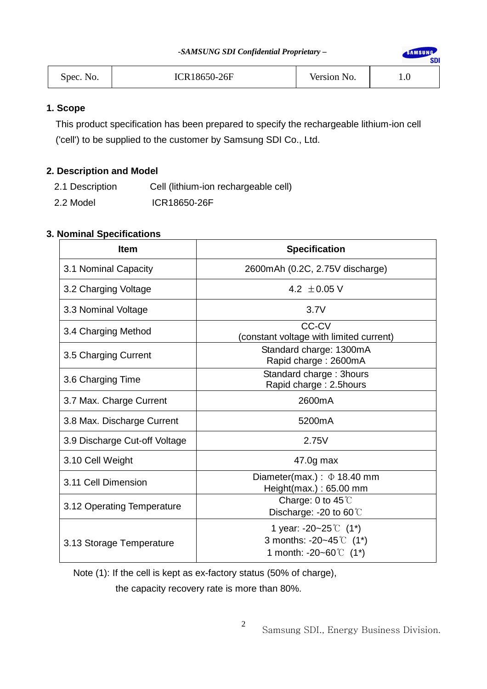**SAMSUNG** 

**SDI** 

| Spec. No. |
|-----------|
|           |

# **1. Scope**

This product specification has been prepared to specify the rechargeable lithium-ion cell ('cell') to be supplied to the customer by Samsung SDI Co., Ltd.

# **2. Description and Model**

- 2.1 Description Cell (lithium-ion rechargeable cell)
- 2.2 Model **ICR18650-26F**

# **3. Nominal Specifications**

| <b>Item</b>                   | <b>Specification</b>                                                                                    |
|-------------------------------|---------------------------------------------------------------------------------------------------------|
| 3.1 Nominal Capacity          | 2600mAh (0.2C, 2.75V discharge)                                                                         |
| 3.2 Charging Voltage          | 4.2 $\pm$ 0.05 V                                                                                        |
| 3.3 Nominal Voltage           | 3.7V                                                                                                    |
| 3.4 Charging Method           | <b>CC-CV</b><br>(constant voltage with limited current)                                                 |
| 3.5 Charging Current          | Standard charge: 1300mA<br>Rapid charge: 2600mA                                                         |
| 3.6 Charging Time             | Standard charge: 3hours<br>Rapid charge: 2.5hours                                                       |
| 3.7 Max. Charge Current       | 2600mA                                                                                                  |
| 3.8 Max. Discharge Current    | 5200 <sub>m</sub> A                                                                                     |
| 3.9 Discharge Cut-off Voltage | 2.75V                                                                                                   |
| 3.10 Cell Weight              | 47.0g max                                                                                               |
| 3.11 Cell Dimension           | Diameter(max.) : $\Phi$ 18.40 mm<br>Height(max.): 65.00 mm                                              |
| 3.12 Operating Temperature    | Charge: 0 to $45^{\circ}$<br>Discharge: -20 to 60°C                                                     |
| 3.13 Storage Temperature      | 1 year: -20~25 $\mathbb{C}$ (1*)<br>3 months: -20~45 $\degree$ C (1*)<br>1 month: -20~60 $\degree$ (1*) |

Note (1): If the cell is kept as ex-factory status (50% of charge),

the capacity recovery rate is more than 80%.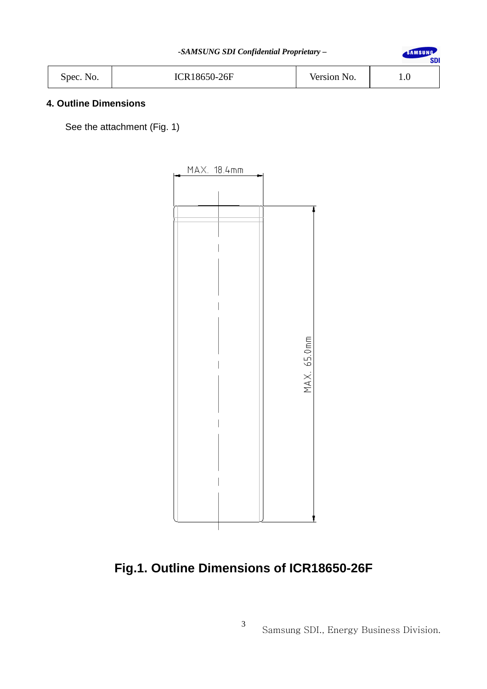SAMSUNG **SDI** 

| Spec. No. | <b>ICR18650-26F</b> | Version No. | $\cdot$ |
|-----------|---------------------|-------------|---------|
|-----------|---------------------|-------------|---------|

# **4. Outline Dimensions**

See the attachment (Fig. 1)



# **Fig.1. Outline Dimensions of ICR18650-26F**

3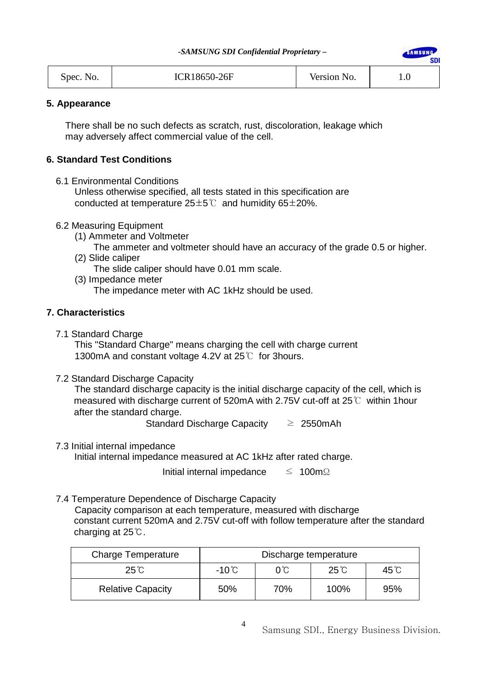SAMSIING.

**SDI** 

| ICR18650-26F<br>Version No.<br>$1.0\,$<br>Spec. No. |  |  |  |
|-----------------------------------------------------|--|--|--|
|-----------------------------------------------------|--|--|--|

# **5. Appearance**

 There shall be no such defects as scratch, rust, discoloration, leakage which may adversely affect commercial value of the cell.

# **6. Standard Test Conditions**

6.1 Environmental Conditions

 Unless otherwise specified, all tests stated in this specification are conducted at temperature  $25±5^{\circ}$  and humidity 65 $\pm$ 20%.

- 6.2 Measuring Equipment
	- (1) Ammeter and Voltmeter

The ammeter and voltmeter should have an accuracy of the grade 0.5 or higher.

- (2) Slide caliper The slide caliper should have 0.01 mm scale.
- (3) Impedance meter

The impedance meter with AC 1kHz should be used.

# **7. Characteristics**

7.1 Standard Charge

 This "Standard Charge" means charging the cell with charge current 1300mA and constant voltage 4.2V at 25℃ for 3hours.

7.2 Standard Discharge Capacity

 The standard discharge capacity is the initial discharge capacity of the cell, which is measured with discharge current of 520mA with 2.75V cut-off at 25℃ within 1hour after the standard charge.

Standard Discharge Capacity  $\geq 2550$ mAh

7.3 Initial internal impedance

Initial internal impedance measured at AC 1kHz after rated charge.

Initial internal impedance ≤ 100mΩ

7.4 Temperature Dependence of Discharge Capacity

 Capacity comparison at each temperature, measured with discharge constant current 520mA and 2.75V cut-off with follow temperature after the standard charging at 25℃.

| <b>Charge Temperature</b> |                                                          | Discharge temperature |      |     |
|---------------------------|----------------------------------------------------------|-----------------------|------|-----|
| $25^{\circ}$ C            | $25^\circ$ C<br>$-10^{\circ}$ C<br>$45^{\circ}$ C<br>0°C |                       |      |     |
| <b>Relative Capacity</b>  | 50%                                                      | 70%                   | 100% | 95% |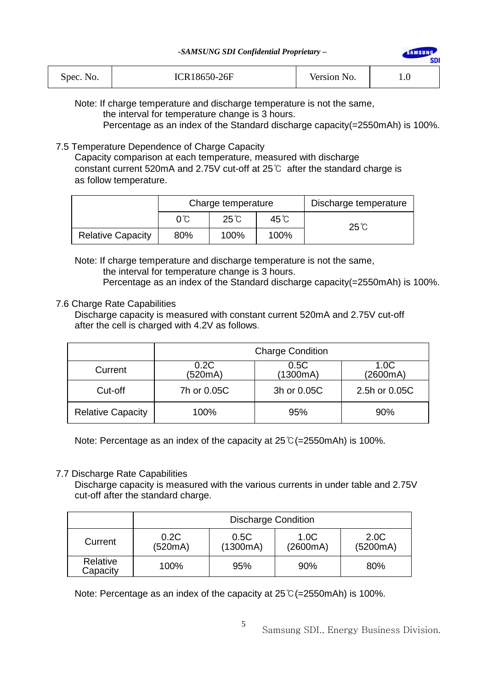| Spec. No. | ICR18650-26F | Version No. | IJ. |
|-----------|--------------|-------------|-----|
|-----------|--------------|-------------|-----|

Note: If charge temperature and discharge temperature is not the same, the interval for temperature change is 3 hours.

Percentage as an index of the Standard discharge capacity(=2550mAh) is 100%.

SAMSUNG

sni

# 7.5 Temperature Dependence of Charge Capacity

 Capacity comparison at each temperature, measured with discharge constant current 520mA and 2.75V cut-off at 25℃ after the standard charge is as follow temperature.

|                          | Charge temperature |              | Discharge temperature |                |
|--------------------------|--------------------|--------------|-----------------------|----------------|
|                          | 0°C                | $25^\circ$ C | 45℃                   | $25^{\circ}$ C |
| <b>Relative Capacity</b> | 80%                | 100%         | 100%                  |                |

 Note: If charge temperature and discharge temperature is not the same, the interval for temperature change is 3 hours.

Percentage as an index of the Standard discharge capacity(=2550mAh) is 100%.

# 7.6 Charge Rate Capabilities

Discharge capacity is measured with constant current 520mA and 2.75V cut-off after the cell is charged with 4.2V as follows.

|                          | <b>Charge Condition</b> |                  |                  |  |
|--------------------------|-------------------------|------------------|------------------|--|
| Current                  | 0.2C<br>(520mA)         | 0.5C<br>(1300mA) | 1.0C<br>(2600mA) |  |
| Cut-off                  | 7h or 0.05C             | 3h or 0.05C      | 2.5h or 0.05C    |  |
| <b>Relative Capacity</b> | 100%                    | 95%              | 90%              |  |

Note: Percentage as an index of the capacity at 25℃(=2550mAh) is 100%.

# 7.7 Discharge Rate Capabilities

Discharge capacity is measured with the various currents in under table and 2.75V cut-off after the standard charge.

|                      | <b>Discharge Condition</b> |                  |                  |                  |
|----------------------|----------------------------|------------------|------------------|------------------|
| Current              | 0.2C<br>(520mA)            | 0.5C<br>(1300mA) | 1.0C<br>(2600mA) | 2.0C<br>(5200mA) |
| Relative<br>Capacity | 100%                       | 95%              | 90%              | 80%              |

Note: Percentage as an index of the capacity at 25℃(=2550mAh) is 100%.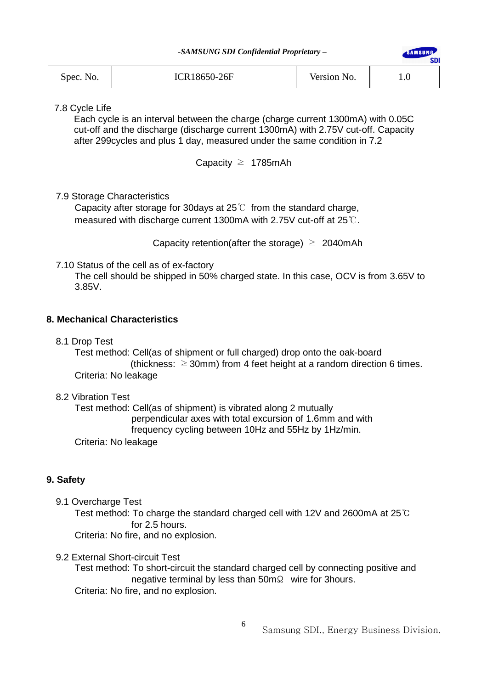**SAMSUNG** 

**SDI** 

| Spec. No. | ICR18650-26F | Version No. | IJ. |
|-----------|--------------|-------------|-----|
|           |              |             |     |

7.8 Cycle Life

Each cycle is an interval between the charge (charge current 1300mA) with 0.05C cut-off and the discharge (discharge current 1300mA) with 2.75V cut-off. Capacity after 299cycles and plus 1 day, measured under the same condition in 7.2

Capacity  $\geq$  1785mAh

# 7.9 Storage Characteristics

Capacity after storage for 30 days at  $25^{\circ}$  from the standard charge, measured with discharge current 1300mA with 2.75V cut-off at 25℃.

Capacity retention(after the storage)  $\geq 2040$ mAh

7.10 Status of the cell as of ex-factory

 The cell should be shipped in 50% charged state. In this case, OCV is from 3.65V to 3.85V.

# **8. Mechanical Characteristics**

8.1 Drop Test

Test method: Cell(as of shipment or full charged) drop onto the oak-board (thickness:  $\geq$  30mm) from 4 feet height at a random direction 6 times. Criteria: No leakage

# 8.2 Vibration Test

 Test method: Cell(as of shipment) is vibrated along 2 mutually perpendicular axes with total excursion of 1.6mm and with frequency cycling between 10Hz and 55Hz by 1Hz/min.

Criteria: No leakage

# **9. Safety**

9.1 Overcharge Test

 Test method: To charge the standard charged cell with 12V and 2600mA at 25℃ for 2.5 hours. Criteria: No fire, and no explosion.

9.2 External Short-circuit Test

 Test method: To short-circuit the standard charged cell by connecting positive and negative terminal by less than 50mΩ wire for 3hours. Criteria: No fire, and no explosion.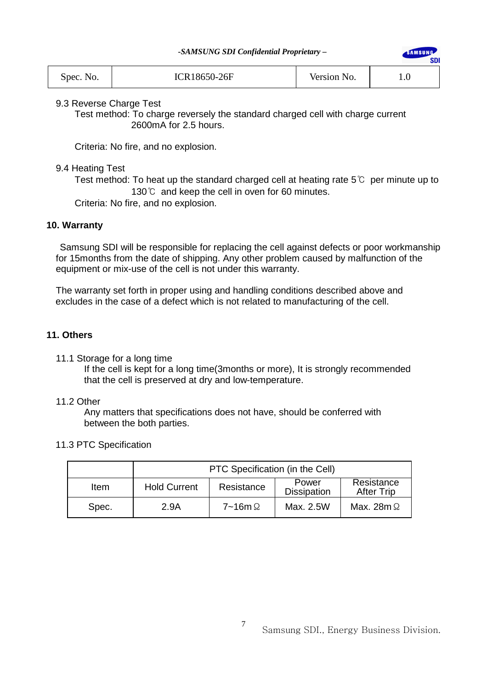**IMSUNG** 

sni

| ICR18650-26F<br>Spec. No. | Version No. | $1.0\,$ |
|---------------------------|-------------|---------|
|---------------------------|-------------|---------|

9.3 Reverse Charge Test

Test method: To charge reversely the standard charged cell with charge current 2600mA for 2.5 hours.

Criteria: No fire, and no explosion.

# 9.4 Heating Test

Test method: To heat up the standard charged cell at heating rate  $5^{\circ}$  per minute up to 130℃ and keep the cell in oven for 60 minutes.

Criteria: No fire, and no explosion.

# **10. Warranty**

Samsung SDI will be responsible for replacing the cell against defects or poor workmanship for 15months from the date of shipping. Any other problem caused by malfunction of the equipment or mix-use of the cell is not under this warranty.

The warranty set forth in proper using and handling conditions described above and excludes in the case of a defect which is not related to manufacturing of the cell.

# **11. Others**

11.1 Storage for a long time

 If the cell is kept for a long time(3months or more), It is strongly recommended that the cell is preserved at dry and low-temperature.

# 11.2 Other

 Any matters that specifications does not have, should be conferred with between the both parties.

# 11.3 PTC Specification

|             | PTC Specification (in the Cell)                                                                     |                     |           |                   |
|-------------|-----------------------------------------------------------------------------------------------------|---------------------|-----------|-------------------|
| <b>Item</b> | Resistance<br>Power<br><b>Hold Current</b><br>Resistance<br><b>Dissipation</b><br><b>After Trip</b> |                     |           |                   |
| Spec.       | 2.9A                                                                                                | $7 - 16$ m $\Omega$ | Max. 2.5W | Max. 28m $\Omega$ |

7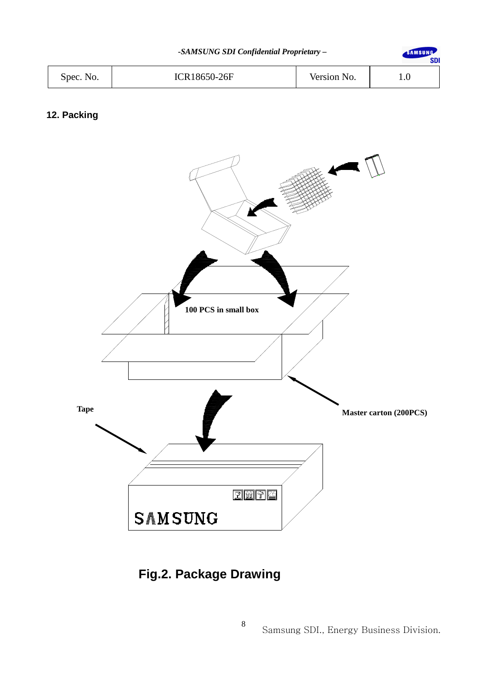SAMSUNG

**SDI** 

| Spec. No. | <b>ICR18650-26F</b> | Version No. | 1.U |
|-----------|---------------------|-------------|-----|
|-----------|---------------------|-------------|-----|

# **12. Packing**



# **Fig.2. Package Drawing**

8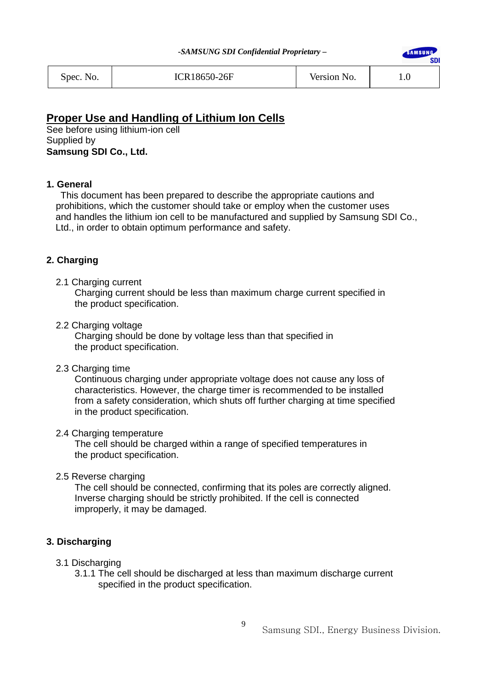

# **Proper Use and Handling of Lithium Ion Cells**

See before using lithium-ion cell Supplied by **Samsung SDI Co., Ltd.** 

# **1. General**

 This document has been prepared to describe the appropriate cautions and prohibitions, which the customer should take or employ when the customer uses and handles the lithium ion cell to be manufactured and supplied by Samsung SDI Co., Ltd., in order to obtain optimum performance and safety.

# **2. Charging**

2.1 Charging current

 Charging current should be less than maximum charge current specified in the product specification.

2.2 Charging voltage

 Charging should be done by voltage less than that specified in the product specification.

2.3 Charging time

 Continuous charging under appropriate voltage does not cause any loss of characteristics. However, the charge timer is recommended to be installed from a safety consideration, which shuts off further charging at time specified in the product specification.

# 2.4 Charging temperature

 The cell should be charged within a range of specified temperatures in the product specification.

2.5 Reverse charging

 The cell should be connected, confirming that its poles are correctly aligned. Inverse charging should be strictly prohibited. If the cell is connected improperly, it may be damaged.

# **3. Discharging**

- 3.1 Discharging
	- 3.1.1 The cell should be discharged at less than maximum discharge current specified in the product specification.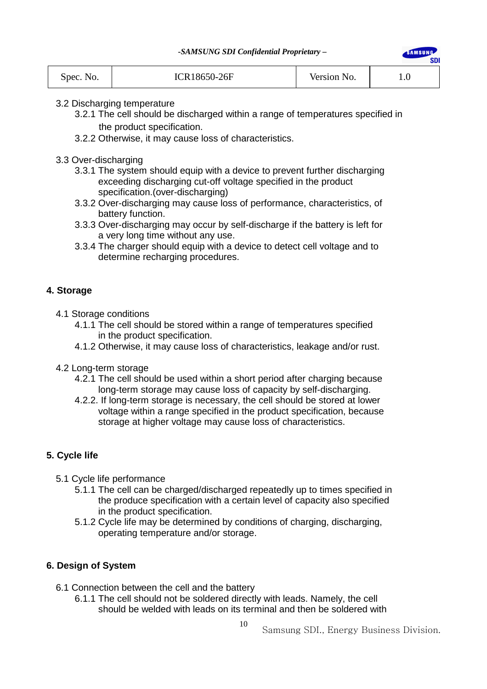**SAMSUNG** 

**SDI** 

| Spec. No. | ICR18650-26F | Version No. |  |
|-----------|--------------|-------------|--|
|           |              |             |  |

# 3.2 Discharging temperature

- 3.2.1 The cell should be discharged within a range of temperatures specified in the product specification.
- 3.2.2 Otherwise, it may cause loss of characteristics.
- 3.3 Over-discharging
	- 3.3.1 The system should equip with a device to prevent further discharging exceeding discharging cut-off voltage specified in the product specification.(over-discharging)
	- 3.3.2 Over-discharging may cause loss of performance, characteristics, of battery function.
	- 3.3.3 Over-discharging may occur by self-discharge if the battery is left for a very long time without any use.
	- 3.3.4 The charger should equip with a device to detect cell voltage and to determine recharging procedures.

# **4. Storage**

- 4.1 Storage conditions
	- 4.1.1 The cell should be stored within a range of temperatures specified in the product specification.
	- 4.1.2 Otherwise, it may cause loss of characteristics, leakage and/or rust.
- 4.2 Long-term storage
	- 4.2.1 The cell should be used within a short period after charging because long-term storage may cause loss of capacity by self-discharging.
	- 4.2.2. If long-term storage is necessary, the cell should be stored at lower voltage within a range specified in the product specification, because storage at higher voltage may cause loss of characteristics.

# **5. Cycle life**

- 5.1 Cycle life performance
	- 5.1.1 The cell can be charged/discharged repeatedly up to times specified in the produce specification with a certain level of capacity also specified in the product specification.
	- 5.1.2 Cycle life may be determined by conditions of charging, discharging, operating temperature and/or storage.

# **6. Design of System**

- 6.1 Connection between the cell and the battery
	- 6.1.1 The cell should not be soldered directly with leads. Namely, the cell should be welded with leads on its terminal and then be soldered with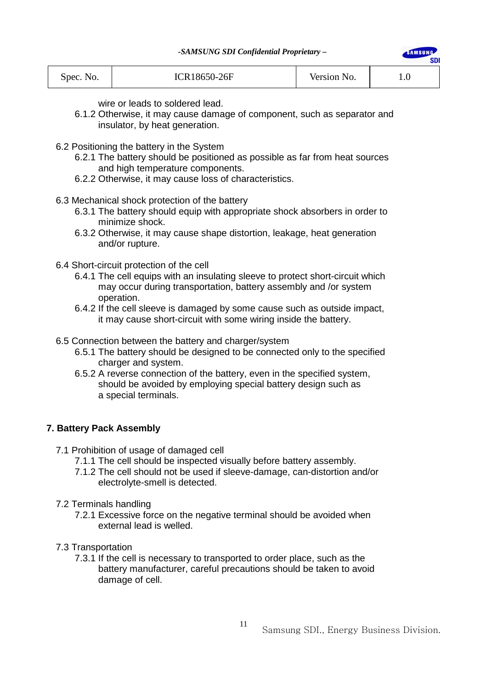| ICR18650-26F<br>Spec. No. | Version No. | I.U |
|---------------------------|-------------|-----|
|---------------------------|-------------|-----|

wire or leads to soldered lead.

- 6.1.2 Otherwise, it may cause damage of component, such as separator and insulator, by heat generation.
- 6.2 Positioning the battery in the System
	- 6.2.1 The battery should be positioned as possible as far from heat sources and high temperature components.
	- 6.2.2 Otherwise, it may cause loss of characteristics.
- 6.3 Mechanical shock protection of the battery
	- 6.3.1 The battery should equip with appropriate shock absorbers in order to minimize shock.
	- 6.3.2 Otherwise, it may cause shape distortion, leakage, heat generation and/or rupture.
- 6.4 Short-circuit protection of the cell
	- 6.4.1 The cell equips with an insulating sleeve to protect short-circuit which may occur during transportation, battery assembly and /or system operation.
	- 6.4.2 If the cell sleeve is damaged by some cause such as outside impact, it may cause short-circuit with some wiring inside the battery.
- 6.5 Connection between the battery and charger/system
	- 6.5.1 The battery should be designed to be connected only to the specified charger and system.
	- 6.5.2 A reverse connection of the battery, even in the specified system, should be avoided by employing special battery design such as a special terminals.

# **7. Battery Pack Assembly**

- 7.1 Prohibition of usage of damaged cell
	- 7.1.1 The cell should be inspected visually before battery assembly.
	- 7.1.2 The cell should not be used if sleeve-damage, can-distortion and/or electrolyte-smell is detected.
- 7.2 Terminals handling
	- 7.2.1 Excessive force on the negative terminal should be avoided when external lead is welled.
- 7.3 Transportation
	- 7.3.1 If the cell is necessary to transported to order place, such as the battery manufacturer, careful precautions should be taken to avoid damage of cell.

SAMSUNG

**SDI**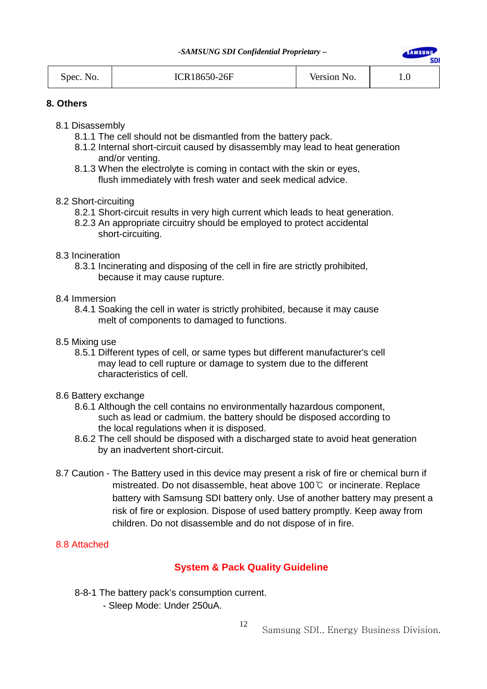**SAMSUNG** 

**SDI** 

| Spec. No. | ICR18650-26F | Version No. | IJ. |
|-----------|--------------|-------------|-----|
|           |              |             |     |

#### **8. Others**

- 8.1 Disassembly
	- 8.1.1 The cell should not be dismantled from the battery pack.
	- 8.1.2 Internal short-circuit caused by disassembly may lead to heat generation and/or venting.
	- 8.1.3 When the electrolyte is coming in contact with the skin or eyes, flush immediately with fresh water and seek medical advice.
- 8.2 Short-circuiting
	- 8.2.1 Short-circuit results in very high current which leads to heat generation.
	- 8.2.3 An appropriate circuitry should be employed to protect accidental short-circuiting.

#### 8.3 Incineration

 8.3.1 Incinerating and disposing of the cell in fire are strictly prohibited, because it may cause rupture.

#### 8.4 Immersion

- 8.4.1 Soaking the cell in water is strictly prohibited, because it may cause melt of components to damaged to functions.
- 8.5 Mixing use
	- 8.5.1 Different types of cell, or same types but different manufacturer's cell may lead to cell rupture or damage to system due to the different characteristics of cell.

#### 8.6 Battery exchange

- 8.6.1 Although the cell contains no environmentally hazardous component, such as lead or cadmium. the battery should be disposed according to the local regulations when it is disposed.
- 8.6.2 The cell should be disposed with a discharged state to avoid heat generation by an inadvertent short-circuit.
- 8.7 Caution The Battery used in this device may present a risk of fire or chemical burn if mistreated. Do not disassemble, heat above 100℃ or incinerate. Replace battery with Samsung SDI battery only. Use of another battery may present a risk of fire or explosion. Dispose of used battery promptly. Keep away from children. Do not disassemble and do not dispose of in fire.

# 8.8 Attached

# **System & Pack Quality Guideline**

- 8-8-1 The battery pack's consumption current.
	- Sleep Mode: Under 250uA.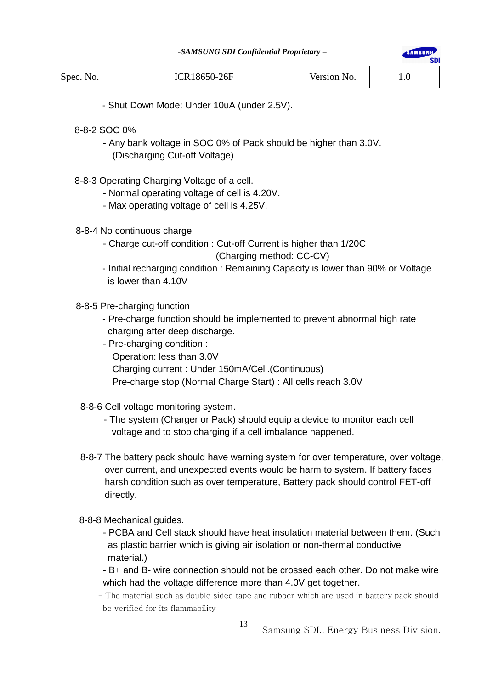**AMSUNG** 

| <b>ICR18650-26F</b><br>Version No.<br>Spec. No.<br>⊥.∪ |  |
|--------------------------------------------------------|--|
|--------------------------------------------------------|--|

- Shut Down Mode: Under 10uA (under 2.5V).

- 8-8-2 SOC 0%
	- Any bank voltage in SOC 0% of Pack should be higher than 3.0V. (Discharging Cut-off Voltage)
- 8-8-3 Operating Charging Voltage of a cell.
	- Normal operating voltage of cell is 4.20V.
	- Max operating voltage of cell is 4.25V.
- 8-8-4 No continuous charge
	- Charge cut-off condition : Cut-off Current is higher than 1/20C

# (Charging method: CC-CV)

- Initial recharging condition : Remaining Capacity is lower than 90% or Voltage is lower than 4.10V

# 8-8-5 Pre-charging function

- Pre-charge function should be implemented to prevent abnormal high rate charging after deep discharge.
- Pre-charging condition : Operation: less than 3.0V Charging current : Under 150mA/Cell.(Continuous) Pre-charge stop (Normal Charge Start) : All cells reach 3.0V
- 8-8-6 Cell voltage monitoring system.
	- The system (Charger or Pack) should equip a device to monitor each cell voltage and to stop charging if a cell imbalance happened.
- 8-8-7 The battery pack should have warning system for over temperature, over voltage, over current, and unexpected events would be harm to system. If battery faces harsh condition such as over temperature, Battery pack should control FET-off directly.
- 8-8-8 Mechanical guides.
	- PCBA and Cell stack should have heat insulation material between them. (Such as plastic barrier which is giving air isolation or non-thermal conductive material.)
	- B+ and B- wire connection should not be crossed each other. Do not make wire which had the voltage difference more than 4.0V get together.
	- The material such as double sided tape and rubber which are used in battery pack should be verified for its flammability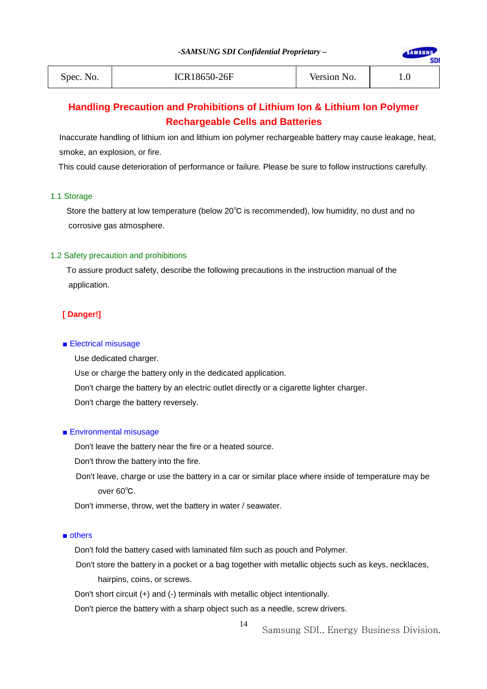**AMSUNG** 

**SDI** 

| Spec. No. | ICR18650-26F | Version No. | $1.0\,$ |
|-----------|--------------|-------------|---------|
|-----------|--------------|-------------|---------|

# **Handling Precaution and Prohibitions of Lithium Ion & Lithium Ion Polymer Rechargeable Cells and Batteries**

Inaccurate handling of lithium ion and lithium ion polymer rechargeable battery may cause leakage, heat, smoke, an explosion, or fire.

This could cause deterioration of performance or failure. Please be sure to follow instructions carefully.

#### 1.1 Storage

 Store the battery at low temperature (below 20℃ is recommended), low humidity, no dust and no corrosive gas atmosphere.

#### 1.2 Safety precaution and prohibitions

 To assure product safety, describe the following precautions in the instruction manual of the application.

#### **[ Danger!]**

#### ■ Electrical misusage

 Use dedicated charger. Use or charge the battery only in the dedicated application. Don't charge the battery by an electric outlet directly or a cigarette lighter charger. Don't charge the battery reversely.

#### ■ Environmental misusage

Don't leave the battery near the fire or a heated source.

Don't throw the battery into the fire.

Don't leave, charge or use the battery in a car or similar place where inside of temperature may be over 60℃.

Don't immerse, throw, wet the battery in water / seawater.

#### ■ others

Don't fold the battery cased with laminated film such as pouch and Polymer.

Don't store the battery in a pocket or a bag together with metallic objects such as keys, necklaces, hairpins, coins, or screws.

14

Don't short circuit (+) and (-) terminals with metallic object intentionally.

Don't pierce the battery with a sharp object such as a needle, screw drivers.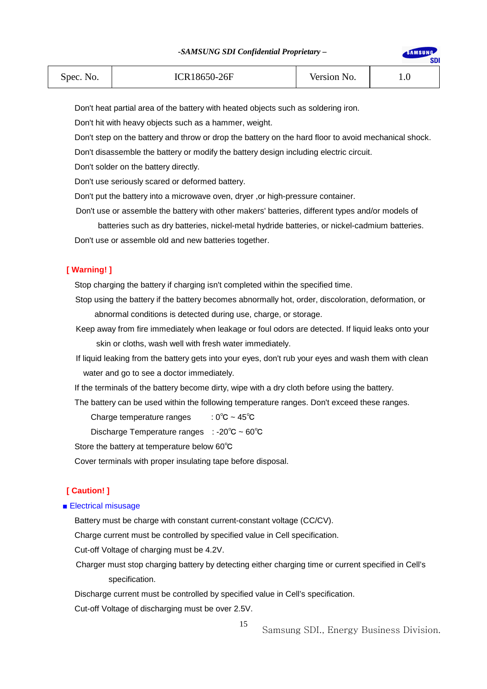SAMSUNG

**SDI** 

| Spec. No. | ICR18650-26F | Version No. | 1.v |
|-----------|--------------|-------------|-----|
|-----------|--------------|-------------|-----|

Don't heat partial area of the battery with heated objects such as soldering iron.

Don't hit with heavy objects such as a hammer, weight.

Don't step on the battery and throw or drop the battery on the hard floor to avoid mechanical shock.

Don't disassemble the battery or modify the battery design including electric circuit.

Don't solder on the battery directly.

Don't use seriously scared or deformed battery.

Don't put the battery into a microwave oven, dryer ,or high-pressure container.

Don't use or assemble the battery with other makers' batteries, different types and/or models of

batteries such as dry batteries, nickel-metal hydride batteries, or nickel-cadmium batteries.

Don't use or assemble old and new batteries together.

#### **[ Warning! ]**

Stop charging the battery if charging isn't completed within the specified time.

Stop using the battery if the battery becomes abnormally hot, order, discoloration, deformation, or abnormal conditions is detected during use, charge, or storage.

Keep away from fire immediately when leakage or foul odors are detected. If liquid leaks onto your skin or cloths, wash well with fresh water immediately.

If liquid leaking from the battery gets into your eyes, don't rub your eyes and wash them with clean water and go to see a doctor immediately.

If the terminals of the battery become dirty, wipe with a dry cloth before using the battery.

The battery can be used within the following temperature ranges. Don't exceed these ranges.

Charge temperature ranges  $\therefore$  0°C ~ 45°C

Discharge Temperature ranges : -20℃ ~ 60℃

Store the battery at temperature below 60℃

Cover terminals with proper insulating tape before disposal.

# **[ Caution! ]**

#### ■ Electrical misusage

Battery must be charge with constant current-constant voltage (CC/CV).

Charge current must be controlled by specified value in Cell specification.

Cut-off Voltage of charging must be 4.2V.

Charger must stop charging battery by detecting either charging time or current specified in Cell's specification.

15

Discharge current must be controlled by specified value in Cell's specification.

Cut-off Voltage of discharging must be over 2.5V.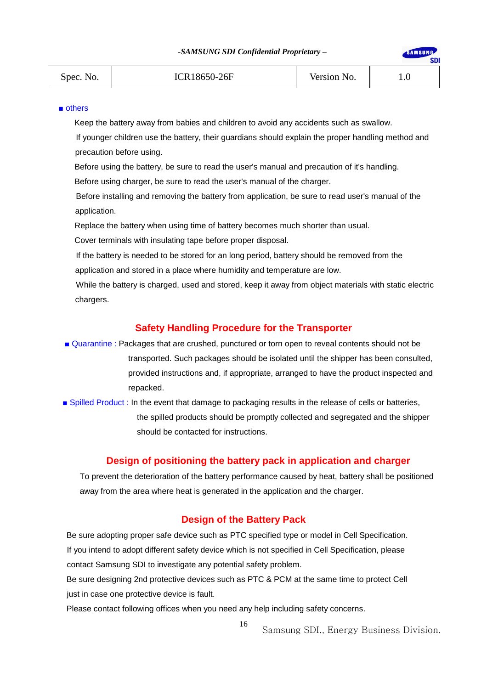SAMSUNG

**SDI** 

| Spec. No. | ICR18650-26F | Version No. |  |
|-----------|--------------|-------------|--|
|           |              |             |  |

#### ■ others

Keep the battery away from babies and children to avoid any accidents such as swallow.

If younger children use the battery, their guardians should explain the proper handling method and precaution before using.

Before using the battery, be sure to read the user's manual and precaution of it's handling.

Before using charger, be sure to read the user's manual of the charger.

Before installing and removing the battery from application, be sure to read user's manual of the application.

Replace the battery when using time of battery becomes much shorter than usual.

Cover terminals with insulating tape before proper disposal.

If the battery is needed to be stored for an long period, battery should be removed from the application and stored in a place where humidity and temperature are low.

While the battery is charged, used and stored, keep it away from object materials with static electric chargers.

#### **Safety Handling Procedure for the Transporter**

- Quarantine : Packages that are crushed, punctured or torn open to reveal contents should not be transported. Such packages should be isolated until the shipper has been consulted, provided instructions and, if appropriate, arranged to have the product inspected and repacked.
- Spilled Product : In the event that damage to packaging results in the release of cells or batteries, the spilled products should be promptly collected and segregated and the shipper should be contacted for instructions.

# **Design of positioning the battery pack in application and charger**

To prevent the deterioration of the battery performance caused by heat, battery shall be positioned away from the area where heat is generated in the application and the charger.

#### **Design of the Battery Pack**

 Be sure adopting proper safe device such as PTC specified type or model in Cell Specification. If you intend to adopt different safety device which is not specified in Cell Specification, please contact Samsung SDI to investigate any potential safety problem.

 Be sure designing 2nd protective devices such as PTC & PCM at the same time to protect Cell just in case one protective device is fault.

16

Please contact following offices when you need any help including safety concerns.